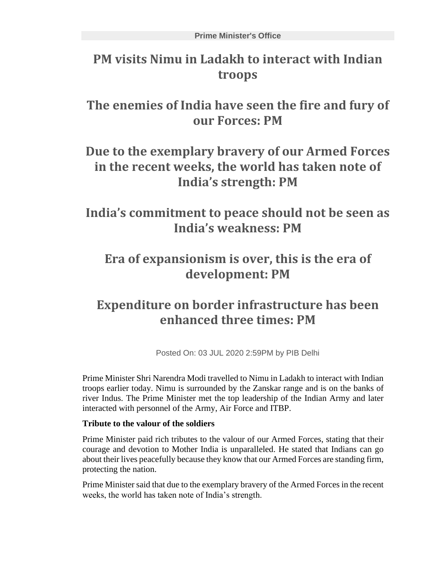# **PM visits Nimu in Ladakh to interact with Indian troops**

**The enemies of India have seen the fire and fury of our Forces: PM**

## **Due to the exemplary bravery of our Armed Forces in the recent weeks, the world has taken note of India's strength: PM**

**India's commitment to peace should not be seen as India's weakness: PM**

## **Era of expansionism is over, this is the era of development: PM**

# **Expenditure on border infrastructure has been enhanced three times: PM**

Posted On: 03 JUL 2020 2:59PM by PIB Delhi

Prime Minister Shri Narendra Modi travelled to Nimu in Ladakh to interact with Indian troops earlier today. Nimu is surrounded by the Zanskar range and is on the banks of river Indus. The Prime Minister met the top leadership of the Indian Army and later interacted with personnel of the Army, Air Force and ITBP.

### **Tribute to the valour of the soldiers**

Prime Minister paid rich tributes to the valour of our Armed Forces, stating that their courage and devotion to Mother India is unparalleled. He stated that Indians can go about their lives peacefully because they know that our Armed Forces are standing firm, protecting the nation.

Prime Minister said that due to the exemplary bravery of the Armed Forces in the recent weeks, the world has taken note of India's strength.